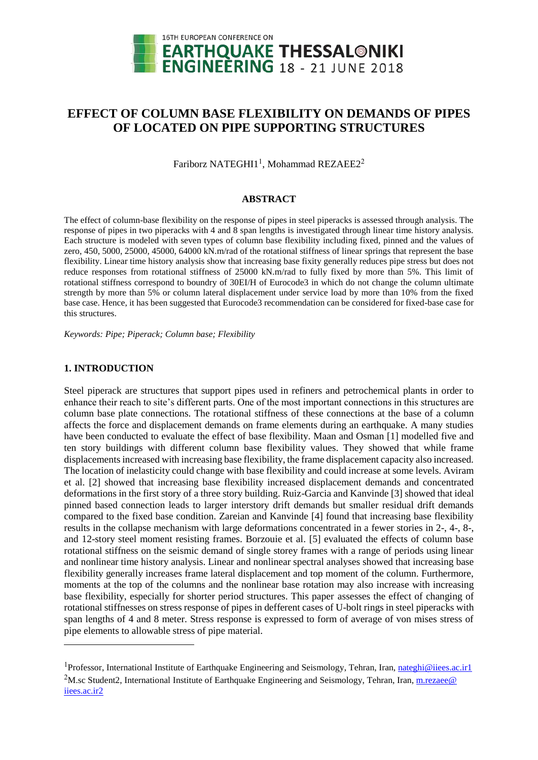

# **EFFECT OF COLUMN BASE FLEXIBILITY ON DEMANDS OF PIPES OF LOCATED ON PIPE SUPPORTING STRUCTURES**

Fariborz NATEGHI1<sup>1</sup>, Mohammad REZAEE2<sup>2</sup>

### **ABSTRACT**

The effect of column-base flexibility on the response of pipes in steel piperacks is assessed through analysis. The response of pipes in two piperacks with 4 and 8 span lengths is investigated through linear time history analysis. Each structure is modeled with seven types of column base flexibility including fixed, pinned and the values of zero, 450, 5000, 25000, 45000, 64000 kN.m/rad of the rotational stiffness of linear springs that represent the base flexibility. Linear time history analysis show that increasing base fixity generally reduces pipe stress but does not reduce responses from rotational stiffness of 25000 kN.m/rad to fully fixed by more than 5%. This limit of rotational stiffness correspond to boundry of 30EI/H of Eurocode3 in which do not change the column ultimate strength by more than 5% or column lateral displacement under service load by more than 10% from the fixed base case. Hence, it has been suggested that Eurocode3 recommendation can be considered for fixed-base case for this structures.

*Keywords: Pipe; Piperack; Column base; Flexibility*

### **1. INTRODUCTION**

l

Steel piperack are structures that support pipes used in refiners and petrochemical plants in order to enhance their reach to site's different parts. One of the most important connections in this structures are column base plate connections. The rotational stiffness of these connections at the base of a column affects the force and displacement demands on frame elements during an earthquake. A many studies have been conducted to evaluate the effect of base flexibility. Maan and Osman [1] modelled five and ten story buildings with different column base flexibility values. They showed that while frame displacements increased with increasing base flexibility, the frame displacement capacity also increased. The location of inelasticity could change with base flexibility and could increase at some levels. Aviram et al. [2] showed that increasing base flexibility increased displacement demands and concentrated deformations in the first story of a three story building. Ruiz-Garcia and Kanvinde [3] showed that ideal pinned based connection leads to larger interstory drift demands but smaller residual drift demands compared to the fixed base condition. Zareian and Kanvinde [4] found that increasing base flexibility results in the collapse mechanism with large deformations concentrated in a fewer stories in 2-, 4-, 8-, and 12-story steel moment resisting frames. Borzouie et al. [5] evaluated the effects of column base rotational stiffness on the seismic demand of single storey frames with a range of periods using linear and nonlinear time history analysis. Linear and nonlinear spectral analyses showed that increasing base flexibility generally increases frame lateral displacement and top moment of the column. Furthermore, moments at the top of the columns and the nonlinear base rotation may also increase with increasing base flexibility, especially for shorter period structures. This paper assesses the effect of changing of rotational stiffnesses on stress response of pipes in defferent cases of U-bolt rings in steel piperacks with span lengths of 4 and 8 meter. Stress response is expressed to form of average of von mises stress of pipe elements to allowable stress of pipe material.

<sup>&</sup>lt;sup>1</sup>Professor, International Institute of Earthquake Engineering and Seismology, Tehran, Iran[, nateghi@iiees.ac.ir1](mailto:nateghi@iiees.ac.ir1) <sup>2</sup>M.sc Student2, International Institute of Earthquake Engineering and Seismology, Tehran, Iran, m.rezaee@ iiees.ac.ir2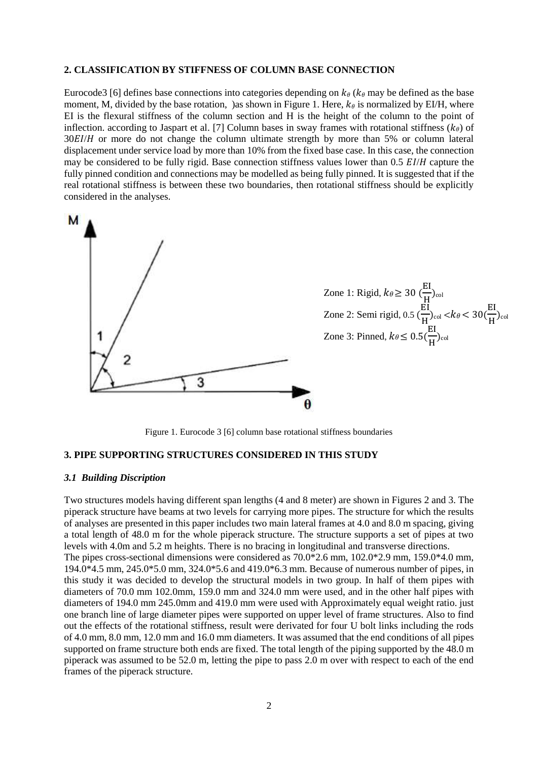### **2. CLASSIFICATION BY STIFFNESS OF COLUMN BASE CONNECTION**

Eurocode3 [6] defines base connections into categories depending on  $k_\theta$  ( $k_\theta$  may be defined as the base moment, M, divided by the base rotation, ) as shown in Figure 1. Here,  $k_{\theta}$  is normalized by EI/H, where EI is the flexural stiffness of the column section and H is the height of the column to the point of inflection. according to Jaspart et al. [7] Column bases in sway frames with rotational stiffness  $(k_{\theta})$  of  $30E/H$  or more do not change the column ultimate strength by more than 5% or column lateral displacement under service load by more than 10% from the fixed base case. In this case, the connection may be considered to be fully rigid. Base connection stiffness values lower than 0.5  $E I/H$  capture the fully pinned condition and connections may be modelled as being fully pinned. It is suggested that if the real rotational stiffness is between these two boundaries, then rotational stiffness should be explicitly considered in the analyses.



Figure 1. Eurocode 3 [6] column base rotational stiffness boundaries

### **3. PIPE SUPPORTING STRUCTURES CONSIDERED IN THIS STUDY**

### *3.1 Building Discription*

Two structures models having different span lengths (4 and 8 meter) are shown in Figures 2 and 3. The piperack structure have beams at two levels for carrying more pipes. The structure for which the results of analyses are presented in this paper includes two main lateral frames at 4.0 and 8.0 m spacing, giving a total length of 48.0 m for the whole piperack structure. The structure supports a set of pipes at two levels with 4.0m and 5.2 m heights. There is no bracing in longitudinal and transverse directions.

The pipes cross-sectional dimensions were considered as 70.0\*2.6 mm, 102.0\*2.9 mm, 159.0\*4.0 mm, 194.0\*4.5 mm, 245.0\*5.0 mm, 324.0\*5.6 and 419.0\*6.3 mm. Because of numerous number of pipes, in this study it was decided to develop the structural models in two group. In half of them pipes with diameters of 70.0 mm 102.0mm, 159.0 mm and 324.0 mm were used, and in the other half pipes with diameters of 194.0 mm 245.0mm and 419.0 mm were used with Approximately equal weight ratio. just one branch line of large diameter pipes were supported on upper level of frame structures. Also to find out the effects of the rotational stiffness, result were derivated for four U bolt links including the rods of 4.0 mm, 8.0 mm, 12.0 mm and 16.0 mm diameters. It was assumed that the end conditions of all pipes supported on frame structure both ends are fixed. The total length of the piping supported by the 48.0 m piperack was assumed to be 52.0 m, letting the pipe to pass 2.0 m over with respect to each of the end frames of the piperack structure.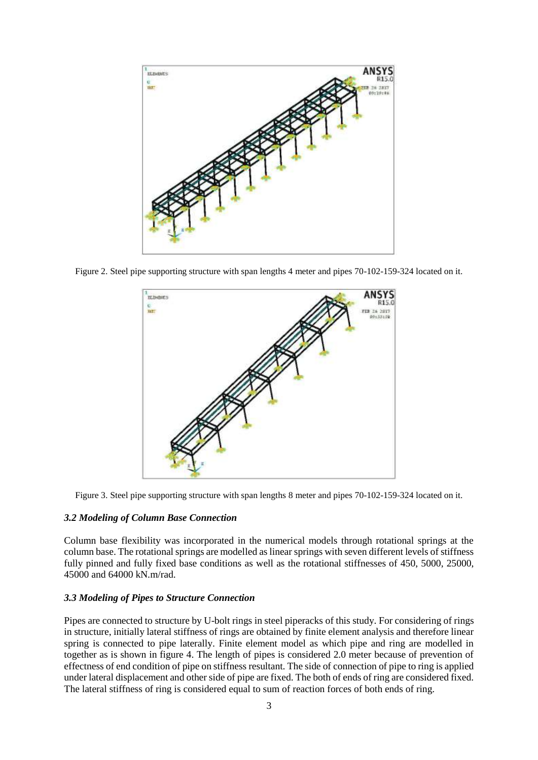

Figure 2. Steel pipe supporting structure with span lengths 4 meter and pipes 70-102-159-324 located on it.



Figure 3. Steel pipe supporting structure with span lengths 8 meter and pipes 70-102-159-324 located on it.

### *3.2 Modeling of Column Base Connection*

Column base flexibility was incorporated in the numerical models through rotational springs at the column base. The rotational springs are modelled as linear springs with seven different levels of stiffness fully pinned and fully fixed base conditions as well as the rotational stiffnesses of 450, 5000, 25000, 45000 and 64000 kN.m/rad.

#### *3.3 Modeling of Pipes to Structure Connection*

Pipes are connected to structure by U-bolt rings in steel piperacks of this study. For considering of rings in structure, initially lateral stiffness of rings are obtained by finite element analysis and therefore linear spring is connected to pipe laterally. Finite element model as which pipe and ring are modelled in together as is shown in figure 4. The length of pipes is considered 2.0 meter because of prevention of effectness of end condition of pipe on stiffness resultant. The side of connection of pipe to ring is applied under lateral displacement and other side of pipe are fixed. The both of ends of ring are considered fixed. The lateral stiffness of ring is considered equal to sum of reaction forces of both ends of ring.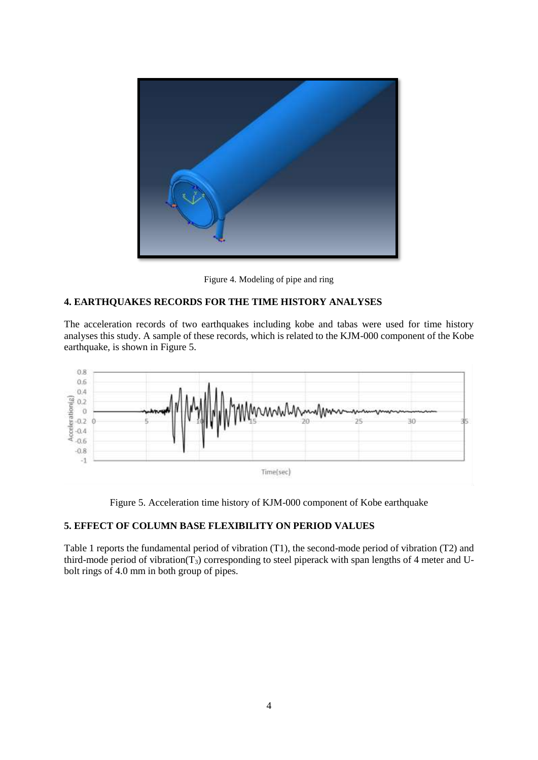

Figure 4. Modeling of pipe and ring

## **4. EARTHQUAKES RECORDS FOR THE TIME HISTORY ANALYSES**

The acceleration records of two earthquakes including kobe and tabas were used for time history analyses this study. A sample of these records, which is related to the KJM-000 component of the Kobe earthquake, is shown in Figure 5.



Figure 5. Acceleration time history of KJM-000 component of Kobe earthquake

### **5. EFFECT OF COLUMN BASE FLEXIBILITY ON PERIOD VALUES**

Table 1 reports the fundamental period of vibration (T1), the second-mode period of vibration (T2) and third-mode period of vibration( $T_3$ ) corresponding to steel piperack with span lengths of 4 meter and Ubolt rings of 4.0 mm in both group of pipes.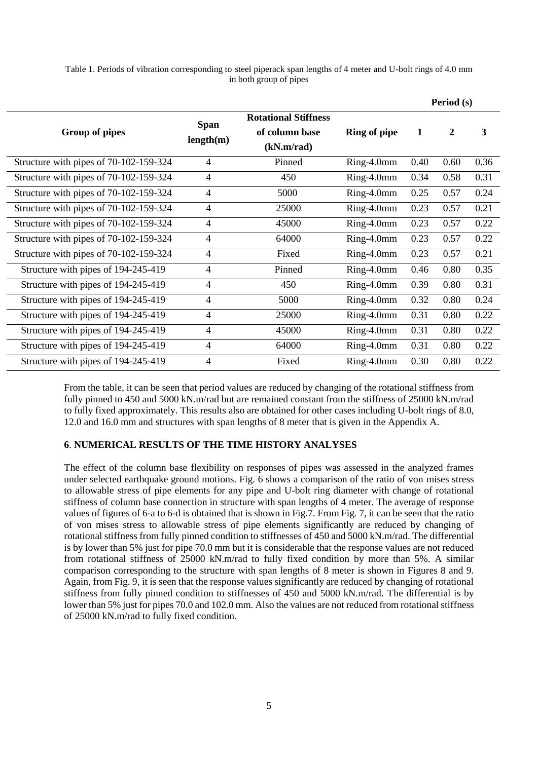Table 1. Periods of vibration corresponding to steel piperack span lengths of 4 meter and U-bolt rings of 4.0 mm in both group of pipes

|                                        |                          |                                                             |                     | Period (s) |                |      |
|----------------------------------------|--------------------------|-------------------------------------------------------------|---------------------|------------|----------------|------|
| Group of pipes                         | <b>Span</b><br>length(m) | <b>Rotational Stiffness</b><br>of column base<br>(kN.m/rad) | <b>Ring of pipe</b> | 1          | $\overline{2}$ | 3    |
| Structure with pipes of 70-102-159-324 | $\overline{4}$           | Pinned                                                      | Ring-4.0mm          | 0.40       | 0.60           | 0.36 |
| Structure with pipes of 70-102-159-324 | $\overline{4}$           | 450                                                         | $Ring-4.0mm$        | 0.34       | 0.58           | 0.31 |
| Structure with pipes of 70-102-159-324 | 4                        | 5000                                                        | Ring-4.0mm          | 0.25       | 0.57           | 0.24 |
| Structure with pipes of 70-102-159-324 | $\overline{4}$           | 25000                                                       | $Ring-4.0mm$        | 0.23       | 0.57           | 0.21 |
| Structure with pipes of 70-102-159-324 | $\overline{4}$           | 45000                                                       | Ring-4.0mm          | 0.23       | 0.57           | 0.22 |
| Structure with pipes of 70-102-159-324 | $\overline{4}$           | 64000                                                       | Ring-4.0mm          | 0.23       | 0.57           | 0.22 |
| Structure with pipes of 70-102-159-324 | $\overline{4}$           | Fixed                                                       | $Ring-4.0mm$        | 0.23       | 0.57           | 0.21 |
| Structure with pipes of 194-245-419    | $\overline{4}$           | Pinned                                                      | Ring-4.0mm          | 0.46       | 0.80           | 0.35 |
| Structure with pipes of 194-245-419    | $\overline{4}$           | 450                                                         | Ring-4.0mm          | 0.39       | 0.80           | 0.31 |
| Structure with pipes of 194-245-419    | $\overline{4}$           | 5000                                                        | Ring-4.0mm          | 0.32       | 0.80           | 0.24 |
| Structure with pipes of 194-245-419    | $\overline{4}$           | 25000                                                       | Ring-4.0mm          | 0.31       | 0.80           | 0.22 |
| Structure with pipes of 194-245-419    | $\overline{4}$           | 45000                                                       | $Ring-4.0mm$        | 0.31       | 0.80           | 0.22 |
| Structure with pipes of 194-245-419    | $\overline{4}$           | 64000                                                       | $Ring-4.0mm$        | 0.31       | 0.80           | 0.22 |
| Structure with pipes of 194-245-419    | $\overline{4}$           | Fixed                                                       | Ring-4.0mm          | 0.30       | 0.80           | 0.22 |

From the table, it can be seen that period values are reduced by changing of the rotational stiffness from fully pinned to 450 and 5000 kN.m/rad but are remained constant from the stiffness of 25000 kN.m/rad to fully fixed approximately. This results also are obtained for other cases including U-bolt rings of 8.0, 12.0 and 16.0 mm and structures with span lengths of 8 meter that is given in the Appendix A.

### **6**. **NUMERICAL RESULTS OF THE TIME HISTORY ANALYSES**

The effect of the column base flexibility on responses of pipes was assessed in the analyzed frames under selected earthquake ground motions. Fig. 6 shows a comparison of the ratio of von mises stress to allowable stress of pipe elements for any pipe and U-bolt ring diameter with change of rotational stiffness of column base connection in structure with span lengths of 4 meter. The average of response values of figures of 6-a to 6-d is obtained that is shown in Fig.7. From Fig. 7, it can be seen that the ratio of von mises stress to allowable stress of pipe elements significantly are reduced by changing of rotational stiffness from fully pinned condition to stiffnesses of 450 and 5000 kN.m/rad. The differential is by lower than 5% just for pipe 70.0 mm but it is considerable that the response values are not reduced from rotational stiffness of 25000 kN.m/rad to fully fixed condition by more than 5%. A similar comparison corresponding to the structure with span lengths of 8 meter is shown in Figures 8 and 9. Again, from Fig. 9, it is seen that the response values significantly are reduced by changing of rotational stiffness from fully pinned condition to stiffnesses of 450 and 5000 kN.m/rad. The differential is by lower than 5% just for pipes 70.0 and 102.0 mm. Also the values are not reduced from rotational stiffness of 25000 kN.m/rad to fully fixed condition.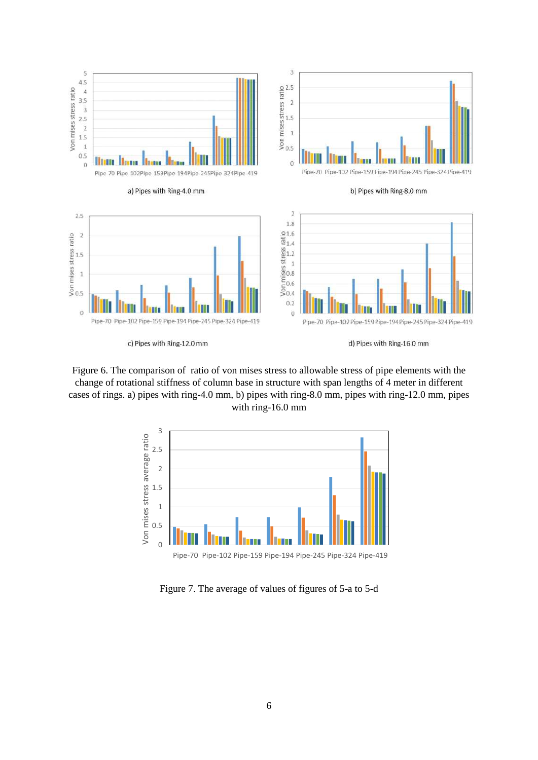

c) Pipes with Ring-12.0 mm

d) Pipes with Ring-16.0 mm

Figure 6. The comparison of ratio of von mises stress to allowable stress of pipe elements with the change of rotational stiffness of column base in structure with span lengths of 4 meter in different cases of rings. a) pipes with ring-4.0 mm, b) pipes with ring-8.0 mm, pipes with ring-12.0 mm, pipes with ring-16.0 mm



Figure 7. The average of values of figures of 5-a to 5-d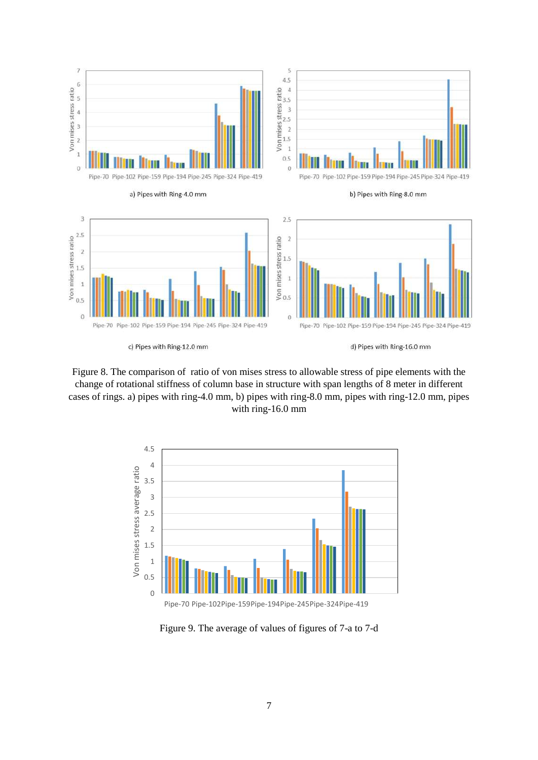

Figure 8. The comparison of ratio of von mises stress to allowable stress of pipe elements with the change of rotational stiffness of column base in structure with span lengths of 8 meter in different cases of rings. a) pipes with ring-4.0 mm, b) pipes with ring-8.0 mm, pipes with ring-12.0 mm, pipes with ring-16.0 mm



Figure 9. The average of values of figures of 7-a to 7-d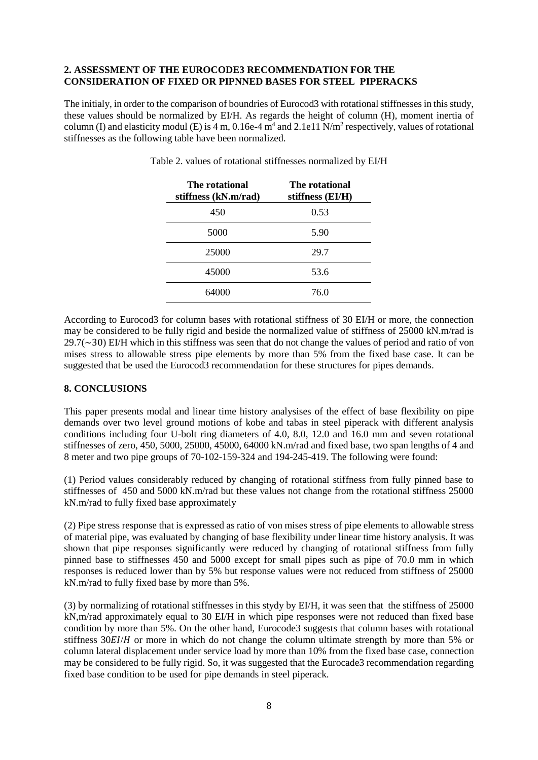### **2. ASSESSMENT OF THE EUROCODE3 RECOMMENDATION FOR THE CONSIDERATION OF FIXED OR PIPNNED BASES FOR STEEL PIPERACKS**

The initialy, in order to the comparison of boundries of Eurocod3 with rotational stiffnesses in this study, these values should be normalized by EI/H. As regards the height of column (H), moment inertia of column (I) and elasticity modul (E) is 4 m, 0.16e-4  $m<sup>4</sup>$  and 2.1e11 N/m<sup>2</sup> respectively, values of rotational stiffnesses as the following table have been normalized.

| The rotational<br>stiffness (kN.m/rad) | The rotational<br>stiffness (EI/H) |
|----------------------------------------|------------------------------------|
| 450                                    | 0.53                               |
| 5000                                   | 5.90                               |
| 25000                                  | 29.7                               |
| 45000                                  | 53.6                               |
| 64000                                  | 76.0                               |

Table 2. values of rotational stiffnesses normalized by EI/H

According to Eurocod3 for column bases with rotational stiffness of 30 EI/H or more, the connection may be considered to be fully rigid and beside the normalized value of stiffness of 25000 kN.m/rad is  $29.7(\sim 30)$  EI/H which in this stiffness was seen that do not change the values of period and ratio of von mises stress to allowable stress pipe elements by more than 5% from the fixed base case. It can be suggested that be used the Eurocod3 recommendation for these structures for pipes demands.

### **8. CONCLUSIONS**

This paper presents modal and linear time history analysises of the effect of base flexibility on pipe demands over two level ground motions of kobe and tabas in steel piperack with different analysis conditions including four U-bolt ring diameters of 4.0, 8.0, 12.0 and 16.0 mm and seven rotational stiffnesses of zero, 450, 5000, 25000, 45000, 64000 kN.m/rad and fixed base, two span lengths of 4 and 8 meter and two pipe groups of 70-102-159-324 and 194-245-419. The following were found:

(1) Period values considerably reduced by changing of rotational stiffness from fully pinned base to stiffnesses of 450 and 5000 kN.m/rad but these values not change from the rotational stiffness 25000 kN.m/rad to fully fixed base approximately

(2) Pipe stress response that is expressed as ratio of von mises stress of pipe elements to allowable stress of material pipe, was evaluated by changing of base flexibility under linear time history analysis. It was shown that pipe responses significantly were reduced by changing of rotational stiffness from fully pinned base to stiffnesses 450 and 5000 except for small pipes such as pipe of 70.0 mm in which responses is reduced lower than by 5% but response values were not reduced from stiffness of 25000 kN.m/rad to fully fixed base by more than 5%.

(3) by normalizing of rotational stiffnesses in this stydy by EI/H, it was seen that the stiffness of 25000 kN,m/rad approximately equal to 30 EI/H in which pipe responses were not reduced than fixed base condition by more than 5%. On the other hand, Eurocode3 suggests that column bases with rotational stiffness  $30E I/H$  or more in which do not change the column ultimate strength by more than 5% or column lateral displacement under service load by more than 10% from the fixed base case, connection may be considered to be fully rigid. So, it was suggested that the Eurocade3 recommendation regarding fixed base condition to be used for pipe demands in steel piperack.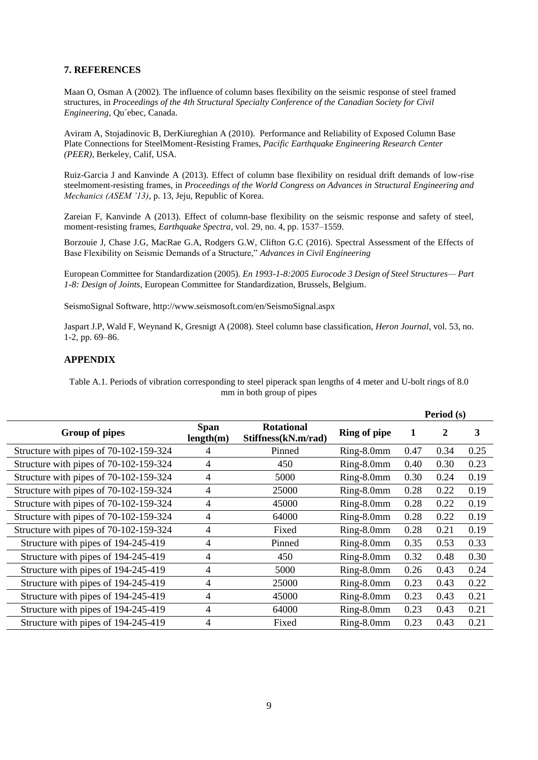### **7. REFERENCES**

Maan O, Osman A (2002). The influence of column bases flexibility on the seismic response of steel framed structures, in *Proceedings of the 4th Structural Specialty Conference of the Canadian Society for Civil Engineering*, Qu´ebec, Canada.

Aviram A, Stojadinovic B, DerKiureghian A (2010). Performance and Reliability of Exposed Column Base Plate Connections for SteelMoment-Resisting Frames, *Pacific Earthquake Engineering Research Center (PEER)*, Berkeley, Calif, USA.

Ruiz-Garcia J and Kanvinde A (2013). Effect of column base flexibility on residual drift demands of low-rise steelmoment-resisting frames, in *Proceedings of the World Congress on Advances in Structural Engineering and Mechanics (ASEM '13)*, p. 13, Jeju, Republic of Korea.

Zareian F, Kanvinde A (2013). Effect of column-base flexibility on the seismic response and safety of steel, moment-resisting frames, *Earthquake Spectra*, vol. 29, no. 4, pp. 1537–1559.

Borzouie J, Chase J.G, MacRae G.A, Rodgers G.W, Clifton G.C (2016). Spectral Assessment of the Effects of Base Flexibility on Seismic Demands of a Structure," *Advances in Civil Engineering*

European Committee for Standardization (2005). *En 1993-1-8:2005 Eurocode 3 Design of Steel Structures— Part 1-8: Design of Joints*, European Committee for Standardization, Brussels, Belgium.

SeismoSignal Software, http://www.seismosoft.com/en/SeismoSignal.aspx

Jaspart J.P, Wald F, Weynand K, Gresnigt A (2008). Steel column base classification, *Heron Journal*, vol. 53, no. 1-2, pp. 69–86.

### **APPENDIX**

Table A.1. Periods of vibration corresponding to steel piperack span lengths of 4 meter and U-bolt rings of 8.0 mm in both group of pipes

|                                        |                          |                                          |                     | Period (s) |      |      |
|----------------------------------------|--------------------------|------------------------------------------|---------------------|------------|------|------|
| Group of pipes                         | <b>Span</b><br>length(m) | <b>Rotational</b><br>Stiffness(kN.m/rad) | <b>Ring of pipe</b> | 1          | 2    | 3    |
| Structure with pipes of 70-102-159-324 | 4                        | Pinned                                   | Ring-8.0mm          | 0.47       | 0.34 | 0.25 |
| Structure with pipes of 70-102-159-324 | 4                        | 450                                      | Ring-8.0mm          | 0.40       | 0.30 | 0.23 |
| Structure with pipes of 70-102-159-324 | 4                        | 5000                                     | Ring-8.0mm          | 0.30       | 0.24 | 0.19 |
| Structure with pipes of 70-102-159-324 | 4                        | 25000                                    | Ring-8.0mm          | 0.28       | 0.22 | 0.19 |
| Structure with pipes of 70-102-159-324 | $\overline{4}$           | 45000                                    | Ring-8.0mm          | 0.28       | 0.22 | 0.19 |
| Structure with pipes of 70-102-159-324 | 4                        | 64000                                    | Ring-8.0mm          | 0.28       | 0.22 | 0.19 |
| Structure with pipes of 70-102-159-324 | 4                        | Fixed                                    | Ring-8.0mm          | 0.28       | 0.21 | 0.19 |
| Structure with pipes of 194-245-419    | 4                        | Pinned                                   | Ring-8.0mm          | 0.35       | 0.53 | 0.33 |
| Structure with pipes of 194-245-419    | 4                        | 450                                      | Ring-8.0mm          | 0.32       | 0.48 | 0.30 |
| Structure with pipes of 194-245-419    | 4                        | 5000                                     | Ring-8.0mm          | 0.26       | 0.43 | 0.24 |
| Structure with pipes of 194-245-419    | 4                        | 25000                                    | Ring-8.0mm          | 0.23       | 0.43 | 0.22 |
| Structure with pipes of 194-245-419    | 4                        | 45000                                    | Ring-8.0mm          | 0.23       | 0.43 | 0.21 |
| Structure with pipes of 194-245-419    | 4                        | 64000                                    | Ring-8.0mm          | 0.23       | 0.43 | 0.21 |
| Structure with pipes of 194-245-419    | 4                        | Fixed                                    | Ring-8.0mm          | 0.23       | 0.43 | 0.21 |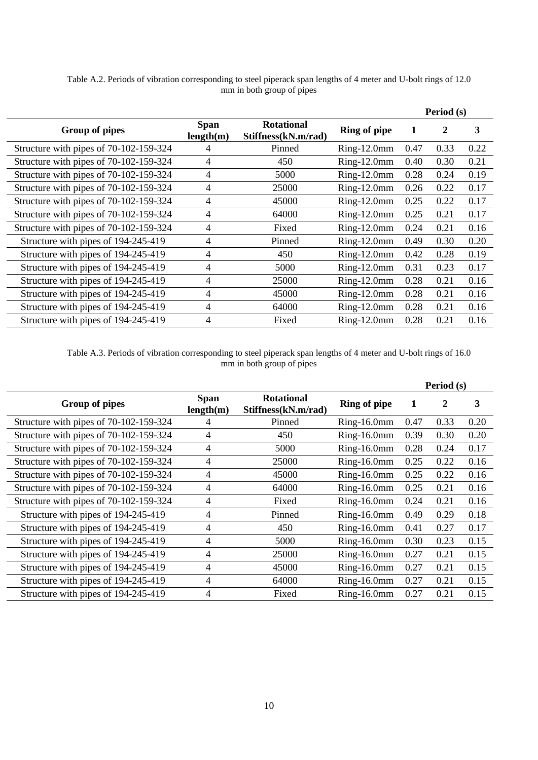|                                        |                          |                                          |                     | Period (s) |      |      |
|----------------------------------------|--------------------------|------------------------------------------|---------------------|------------|------|------|
| Group of pipes                         | <b>Span</b><br>length(m) | <b>Rotational</b><br>Stiffness(kN.m/rad) | <b>Ring of pipe</b> | 1          | 2    | 3    |
| Structure with pipes of 70-102-159-324 |                          | Pinned                                   | $Ring-12.0mm$       | 0.47       | 0.33 | 0.22 |
| Structure with pipes of 70-102-159-324 | 4                        | 450                                      | $Ring-12.0mm$       | 0.40       | 0.30 | 0.21 |
| Structure with pipes of 70-102-159-324 | 4                        | 5000                                     | $Ring-12.0mm$       | 0.28       | 0.24 | 0.19 |
| Structure with pipes of 70-102-159-324 | 4                        | 25000                                    | $Ring-12.0mm$       | 0.26       | 0.22 | 0.17 |
| Structure with pipes of 70-102-159-324 | 4                        | 45000                                    | $Ring-12.0mm$       | 0.25       | 0.22 | 0.17 |
| Structure with pipes of 70-102-159-324 | $\overline{4}$           | 64000                                    | Ring-12.0mm         | 0.25       | 0.21 | 0.17 |
| Structure with pipes of 70-102-159-324 | 4                        | Fixed                                    | $Ring-12.0mm$       | 0.24       | 0.21 | 0.16 |
| Structure with pipes of 194-245-419    | 4                        | Pinned                                   | $Ring-12.0mm$       | 0.49       | 0.30 | 0.20 |
| Structure with pipes of 194-245-419    | 4                        | 450                                      | $Ring-12.0mm$       | 0.42       | 0.28 | 0.19 |
| Structure with pipes of 194-245-419    | 4                        | 5000                                     | $Ring-12.0mm$       | 0.31       | 0.23 | 0.17 |
| Structure with pipes of 194-245-419    | 4                        | 25000                                    | $Ring-12.0mm$       | 0.28       | 0.21 | 0.16 |
| Structure with pipes of 194-245-419    | 4                        | 45000                                    | $Ring-12.0mm$       | 0.28       | 0.21 | 0.16 |
| Structure with pipes of 194-245-419    | 4                        | 64000                                    | $Ring-12.0mm$       | 0.28       | 0.21 | 0.16 |
| Structure with pipes of 194-245-419    | 4                        | Fixed                                    | $Ring-12.0mm$       | 0.28       | 0.21 | 0.16 |

Table A.2. Periods of vibration corresponding to steel piperack span lengths of 4 meter and U-bolt rings of 12.0 mm in both group of pipes

Table A.3. Periods of vibration corresponding to steel piperack span lengths of 4 meter and U-bolt rings of 16.0 mm in both group of pipes

|                                        |                          |                                          |                     | Period (s) |      |      |
|----------------------------------------|--------------------------|------------------------------------------|---------------------|------------|------|------|
| <b>Group of pipes</b>                  | <b>Span</b><br>length(m) | <b>Rotational</b><br>Stiffness(kN.m/rad) | <b>Ring of pipe</b> | 1          | 2    | 3    |
| Structure with pipes of 70-102-159-324 | 4                        | Pinned                                   | $Ring-16.0mm$       | 0.47       | 0.33 | 0.20 |
| Structure with pipes of 70-102-159-324 | 4                        | 450                                      | $Ring-16.0mm$       | 0.39       | 0.30 | 0.20 |
| Structure with pipes of 70-102-159-324 | 4                        | 5000                                     | $Ring-16.0mm$       | 0.28       | 0.24 | 0.17 |
| Structure with pipes of 70-102-159-324 | 4                        | 25000                                    | $Ring-16.0mm$       | 0.25       | 0.22 | 0.16 |
| Structure with pipes of 70-102-159-324 | 4                        | 45000                                    | $Ring-16.0mm$       | 0.25       | 0.22 | 0.16 |
| Structure with pipes of 70-102-159-324 | 4                        | 64000                                    | $Ring-16.0mm$       | 0.25       | 0.21 | 0.16 |
| Structure with pipes of 70-102-159-324 | 4                        | Fixed                                    | $Ring-16.0mm$       | 0.24       | 0.21 | 0.16 |
| Structure with pipes of 194-245-419    | 4                        | Pinned                                   | $Ring-16.0mm$       | 0.49       | 0.29 | 0.18 |
| Structure with pipes of 194-245-419    | 4                        | 450                                      | $Ring-16.0mm$       | 0.41       | 0.27 | 0.17 |
| Structure with pipes of 194-245-419    | 4                        | 5000                                     | $Ring-16.0mm$       | 0.30       | 0.23 | 0.15 |
| Structure with pipes of 194-245-419    | 4                        | 25000                                    | $Ring-16.0mm$       | 0.27       | 0.21 | 0.15 |
| Structure with pipes of 194-245-419    | 4                        | 45000                                    | $Ring-16.0mm$       | 0.27       | 0.21 | 0.15 |
| Structure with pipes of 194-245-419    | 4                        | 64000                                    | $Ring-16.0mm$       | 0.27       | 0.21 | 0.15 |
| Structure with pipes of 194-245-419    | 4                        | Fixed                                    | Ring-16.0mm         | 0.27       | 0.21 | 0.15 |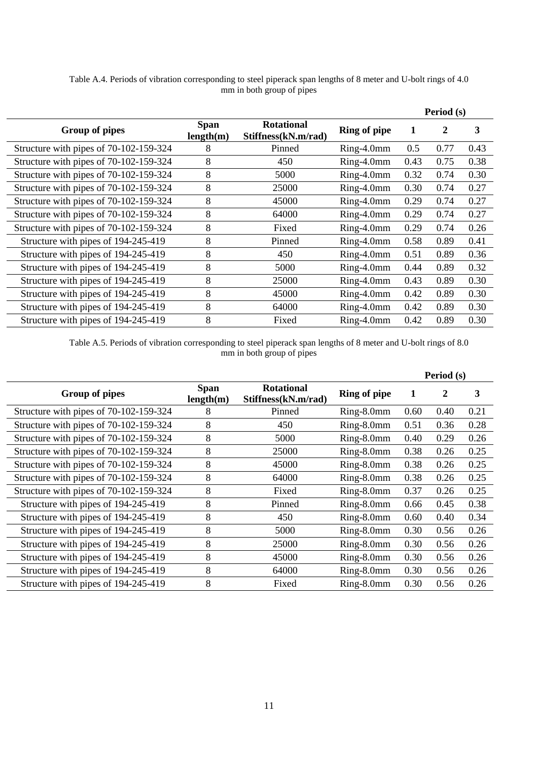|                                        |                          |                                          |                     | Period (s) |      |      |
|----------------------------------------|--------------------------|------------------------------------------|---------------------|------------|------|------|
| Group of pipes                         | <b>Span</b><br>length(m) | <b>Rotational</b><br>Stiffness(kN.m/rad) | <b>Ring of pipe</b> | 1          | 2    | 3    |
| Structure with pipes of 70-102-159-324 | 8                        | Pinned                                   | $Ring-4.0mm$        | 0.5        | 0.77 | 0.43 |
| Structure with pipes of 70-102-159-324 | 8                        | 450                                      | Ring-4.0mm          | 0.43       | 0.75 | 0.38 |
| Structure with pipes of 70-102-159-324 | 8                        | 5000                                     | $Ring-4.0mm$        | 0.32       | 0.74 | 0.30 |
| Structure with pipes of 70-102-159-324 | 8                        | 25000                                    | Ring-4.0mm          | 0.30       | 0.74 | 0.27 |
| Structure with pipes of 70-102-159-324 | 8                        | 45000                                    | Ring-4.0mm          | 0.29       | 0.74 | 0.27 |
| Structure with pipes of 70-102-159-324 | 8                        | 64000                                    | Ring-4.0mm          | 0.29       | 0.74 | 0.27 |
| Structure with pipes of 70-102-159-324 | 8                        | Fixed                                    | Ring-4.0mm          | 0.29       | 0.74 | 0.26 |
| Structure with pipes of 194-245-419    | 8                        | Pinned                                   | Ring-4.0mm          | 0.58       | 0.89 | 0.41 |
| Structure with pipes of 194-245-419    | 8                        | 450                                      | Ring-4.0mm          | 0.51       | 0.89 | 0.36 |
| Structure with pipes of 194-245-419    | 8                        | 5000                                     | $Ring-4.0mm$        | 0.44       | 0.89 | 0.32 |
| Structure with pipes of 194-245-419    | 8                        | 25000                                    | Ring-4.0mm          | 0.43       | 0.89 | 0.30 |
| Structure with pipes of 194-245-419    | 8                        | 45000                                    | Ring-4.0mm          | 0.42       | 0.89 | 0.30 |
| Structure with pipes of 194-245-419    | 8                        | 64000                                    | Ring-4.0mm          | 0.42       | 0.89 | 0.30 |
| Structure with pipes of 194-245-419    | 8                        | Fixed                                    | $Ring-4.0mm$        | 0.42       | 0.89 | 0.30 |

Table A.4. Periods of vibration corresponding to steel piperack span lengths of 8 meter and U-bolt rings of 4.0 mm in both group of pipes

Table A.5. Periods of vibration corresponding to steel piperack span lengths of 8 meter and U-bolt rings of 8.0 mm in both group of pipes

|                                        |                          |                                          |                     | Period (s) |      |      |
|----------------------------------------|--------------------------|------------------------------------------|---------------------|------------|------|------|
| Group of pipes                         | <b>Span</b><br>length(m) | <b>Rotational</b><br>Stiffness(kN.m/rad) | <b>Ring of pipe</b> | 1          | 2    | 3    |
| Structure with pipes of 70-102-159-324 | 8                        | Pinned                                   | $Ring-8.0mm$        | 0.60       | 0.40 | 0.21 |
| Structure with pipes of 70-102-159-324 | 8                        | 450                                      | Ring-8.0mm          | 0.51       | 0.36 | 0.28 |
| Structure with pipes of 70-102-159-324 | 8                        | 5000                                     | Ring-8.0mm          | 0.40       | 0.29 | 0.26 |
| Structure with pipes of 70-102-159-324 | 8                        | 25000                                    | Ring-8.0mm          | 0.38       | 0.26 | 0.25 |
| Structure with pipes of 70-102-159-324 | 8                        | 45000                                    | Ring-8.0mm          | 0.38       | 0.26 | 0.25 |
| Structure with pipes of 70-102-159-324 | 8                        | 64000                                    | Ring-8.0mm          | 0.38       | 0.26 | 0.25 |
| Structure with pipes of 70-102-159-324 | 8                        | Fixed                                    | Ring-8.0mm          | 0.37       | 0.26 | 0.25 |
| Structure with pipes of 194-245-419    | 8                        | Pinned                                   | Ring-8.0mm          | 0.66       | 0.45 | 0.38 |
| Structure with pipes of 194-245-419    | 8                        | 450                                      | Ring-8.0mm          | 0.60       | 0.40 | 0.34 |
| Structure with pipes of 194-245-419    | 8                        | 5000                                     | Ring-8.0mm          | 0.30       | 0.56 | 0.26 |
| Structure with pipes of 194-245-419    | 8                        | 25000                                    | Ring-8.0mm          | 0.30       | 0.56 | 0.26 |
| Structure with pipes of 194-245-419    | 8                        | 45000                                    | Ring-8.0mm          | 0.30       | 0.56 | 0.26 |
| Structure with pipes of 194-245-419    | 8                        | 64000                                    | Ring-8.0mm          | 0.30       | 0.56 | 0.26 |
| Structure with pipes of 194-245-419    | 8                        | Fixed                                    | Ring-8.0mm          | 0.30       | 0.56 | 0.26 |